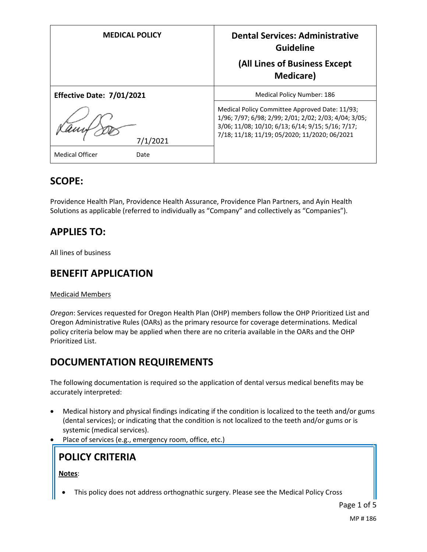| <b>MEDICAL POLICY</b>          | <b>Dental Services: Administrative</b><br><b>Guideline</b><br>(All Lines of Business Except<br><b>Medicare</b> )                                                                                              |
|--------------------------------|---------------------------------------------------------------------------------------------------------------------------------------------------------------------------------------------------------------|
| Effective Date: 7/01/2021      | Medical Policy Number: 186                                                                                                                                                                                    |
| 7/1/2021                       | Medical Policy Committee Approved Date: 11/93;<br>1/96; 7/97; 6/98; 2/99; 2/01; 2/02; 2/03; 4/04; 3/05;<br>3/06; 11/08; 10/10; 6/13; 6/14; 9/15; 5/16; 7/17;<br>7/18; 11/18; 11/19; 05/2020; 11/2020; 06/2021 |
| <b>Medical Officer</b><br>Date |                                                                                                                                                                                                               |

### **SCOPE:**

Providence Health Plan, Providence Health Assurance, Providence Plan Partners, and Ayin Health Solutions as applicable (referred to individually as "Company" and collectively as "Companies").

# **APPLIES TO:**

All lines of business

### **BENEFIT APPLICATION**

#### Medicaid Members

*Oregon*: Services requested for Oregon Health Plan (OHP) members follow the OHP Prioritized List and Oregon Administrative Rules (OARs) as the primary resource for coverage determinations. Medical policy criteria below may be applied when there are no criteria available in the OARs and the OHP Prioritized List.

### **DOCUMENTATION REQUIREMENTS**

The following documentation is required so the application of dental versus medical benefits may be accurately interpreted:

- Medical history and physical findings indicating if the condition is localized to the teeth and/or gums (dental services); or indicating that the condition is not localized to the teeth and/or gums or is systemic (medical services).
- Place of services (e.g., emergency room, office, etc.)

**POLICY CRITERIA**

**Notes**:

This policy does not address orthognathic surgery. Please see the Medical Policy Cross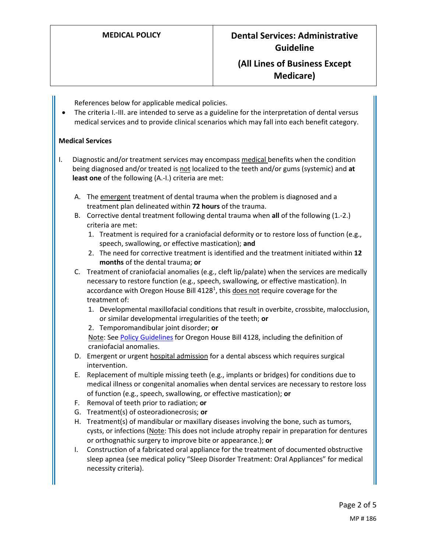# **MEDICAL POLICY Dental Services: Administrative Guideline**

### **(All Lines of Business Except Medicare)**

References below for applicable medical policies.

 The criteria I.-III. are intended to serve as a guideline for the interpretation of dental versus medical services and to provide clinical scenarios which may fall into each benefit category.

#### **Medical Services**

- I. Diagnostic and/or treatment services may encompass medical benefits when the condition being diagnosed and/or treated is not localized to the teeth and/or gums (systemic) and **at least one** of the following (A.-I.) criteria are met:
	- A. The emergent treatment of dental trauma when the problem is diagnosed and a treatment plan delineated within **72 hours** of the trauma.
	- B. Corrective dental treatment following dental trauma when **all** of the following (1.-2.) criteria are met:
		- 1. Treatment is required for a craniofacial deformity or to restore loss of function (e.g., speech, swallowing, or effective mastication); **and**
		- 2. The need for corrective treatment is identified and the treatment initiated within **12 months** of the dental trauma; **or**
	- C. Treatment of craniofacial anomalies (e.g., cleft lip/palate) when the services are medically necessary to restore function (e.g., speech, swallowing, or effective mastication). In accordance with Oregon House Bill 4128<sup>1</sup>, this does not require coverage for the treatment of:
		- 1. Developmental maxillofacial conditions that result in overbite, crossbite, malocclusion, or similar developmental irregularities of the teeth; **or**
		- 2. Temporomandibular joint disorder; **or**

Note: Se[e Policy Guidelines](#page-2-0) for Oregon House Bill 4128, including the definition of craniofacial anomalies.

- D. Emergent or urgent hospital admission for a dental abscess which requires surgical intervention.
- E. Replacement of multiple missing teeth (e.g., implants or bridges) for conditions due to medical illness or congenital anomalies when dental services are necessary to restore loss of function (e.g., speech, swallowing, or effective mastication); **or**
- F. Removal of teeth prior to radiation; **or**
- G. Treatment(s) of osteoradionecrosis; **or**
- H. Treatment(s) of mandibular or maxillary diseases involving the bone, such as tumors, cysts, or infections (Note: This does not include atrophy repair in preparation for dentures or orthognathic surgery to improve bite or appearance.); **or**
- I. Construction of a fabricated oral appliance for the treatment of documented obstructive sleep apnea (see medical policy "Sleep Disorder Treatment: Oral Appliances" for medical necessity criteria).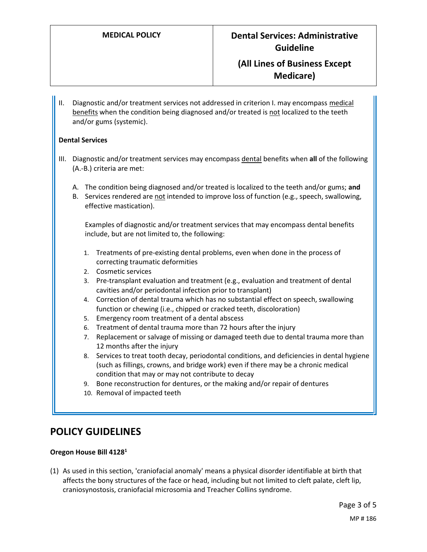## **MEDICAL POLICY Dental Services: Administrative Guideline**

### **(All Lines of Business Except Medicare)**

II. Diagnostic and/or treatment services not addressed in criterion I. may encompass medical benefits when the condition being diagnosed and/or treated is not localized to the teeth and/or gums (systemic).

#### **Dental Services**

- III. Diagnostic and/or treatment services may encompass dental benefits when **all** of the following (A.-B.) criteria are met:
	- A. The condition being diagnosed and/or treated is localized to the teeth and/or gums; **and**
	- B. Services rendered are not intended to improve loss of function (e.g., speech, swallowing, effective mastication).

Examples of diagnostic and/or treatment services that may encompass dental benefits include, but are not limited to, the following:

- 1. Treatments of pre-existing dental problems, even when done in the process of correcting traumatic deformities
- 2. Cosmetic services
- 3. Pre-transplant evaluation and treatment (e.g., evaluation and treatment of dental cavities and/or periodontal infection prior to transplant)
- 4. Correction of dental trauma which has no substantial effect on speech, swallowing function or chewing (i.e., chipped or cracked teeth, discoloration)
- 5. Emergency room treatment of a dental abscess
- 6. Treatment of dental trauma more than 72 hours after the injury
- 7. Replacement or salvage of missing or damaged teeth due to dental trauma more than 12 months after the injury
- 8. Services to treat tooth decay, periodontal conditions, and deficiencies in dental hygiene (such as fillings, crowns, and bridge work) even if there may be a chronic medical condition that may or may not contribute to decay
- 9. Bone reconstruction for dentures, or the making and/or repair of dentures
- 10. Removal of impacted teeth

### <span id="page-2-0"></span>**POLICY GUIDELINES**

#### **Oregon House Bill 4128<sup>1</sup>**

(1) As used in this section, 'craniofacial anomaly' means a physical disorder identifiable at birth that affects the bony structures of the face or head, including but not limited to cleft palate, cleft lip, craniosynostosis, craniofacial microsomia and Treacher Collins syndrome.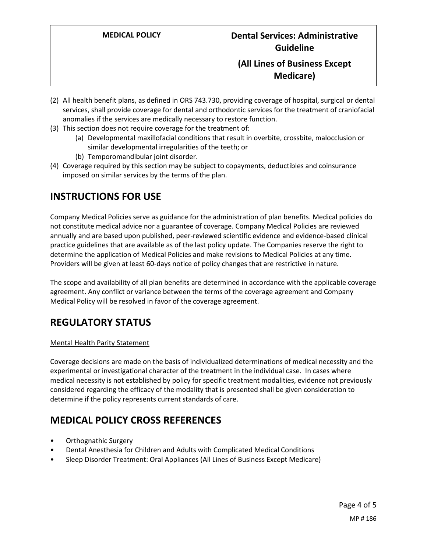### **(All Lines of Business Except Medicare)**

- (2) All health benefit plans, as defined in ORS 743.730, providing coverage of hospital, surgical or dental services, shall provide coverage for dental and orthodontic services for the treatment of craniofacial anomalies if the services are medically necessary to restore function.
- (3) This section does not require coverage for the treatment of:
	- (a) Developmental maxillofacial conditions that result in overbite, crossbite, malocclusion or similar developmental irregularities of the teeth; or
	- (b) Temporomandibular joint disorder.
- (4) Coverage required by this section may be subject to copayments, deductibles and coinsurance imposed on similar services by the terms of the plan.

### **INSTRUCTIONS FOR USE**

Company Medical Policies serve as guidance for the administration of plan benefits. Medical policies do not constitute medical advice nor a guarantee of coverage. Company Medical Policies are reviewed annually and are based upon published, peer-reviewed scientific evidence and evidence-based clinical practice guidelines that are available as of the last policy update. The Companies reserve the right to determine the application of Medical Policies and make revisions to Medical Policies at any time. Providers will be given at least 60-days notice of policy changes that are restrictive in nature.

The scope and availability of all plan benefits are determined in accordance with the applicable coverage agreement. Any conflict or variance between the terms of the coverage agreement and Company Medical Policy will be resolved in favor of the coverage agreement.

# **REGULATORY STATUS**

#### Mental Health Parity Statement

Coverage decisions are made on the basis of individualized determinations of medical necessity and the experimental or investigational character of the treatment in the individual case. In cases where medical necessity is not established by policy for specific treatment modalities, evidence not previously considered regarding the efficacy of the modality that is presented shall be given consideration to determine if the policy represents current standards of care.

# **MEDICAL POLICY CROSS REFERENCES**

- Orthognathic Surgery
- Dental Anesthesia for Children and Adults with Complicated Medical Conditions
- Sleep Disorder Treatment: Oral Appliances (All Lines of Business Except Medicare)